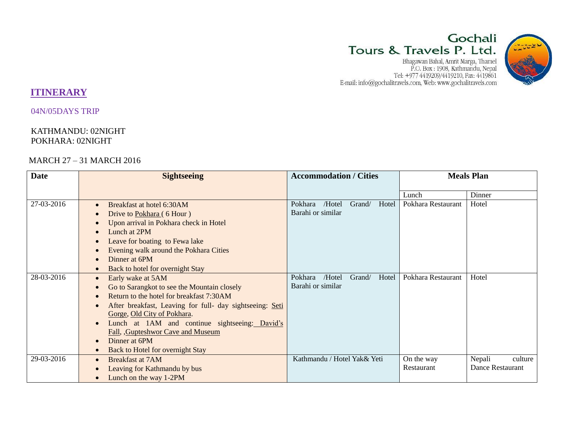# Gochali Tours & Travels P. Ltd.

 ${\small \begin{tabular}{c} Bhaqawan Bahal, Amrit Marqa, Thamel\\ P.O. Box: 1908, Kathmandu, Nepal\\ Tel: +977 4419209/4419210, Fax: 4419861\\ E-mail: info@gochalitravels.com, Web: www.gochalitravels.com \end{tabular} }$ 



# **ITINERARY**

04N/05DAYS TRIP

# KATHMANDU: 02NIGHT POKHARA: 02NIGHT

# MARCH 27 – 31 MARCH 2016

| <b>Date</b> | <b>Sightseeing</b>                                       | <b>Accommodation / Cities</b>        | <b>Meals Plan</b>               |  |
|-------------|----------------------------------------------------------|--------------------------------------|---------------------------------|--|
|             |                                                          |                                      | Dinner<br>Lunch                 |  |
| 27-03-2016  | Breakfast at hotel 6:30AM<br>$\bullet$                   | Hotel<br>Pokhara<br>/Hotel<br>Grand/ | Pokhara Restaurant<br>Hotel     |  |
|             | Drive to Pokhara (6 Hour)                                | Barahi or similar                    |                                 |  |
|             | Upon arrival in Pokhara check in Hotel                   |                                      |                                 |  |
|             | Lunch at 2PM                                             |                                      |                                 |  |
|             | Leave for boating to Fewa lake                           |                                      |                                 |  |
|             | Evening walk around the Pokhara Cities                   |                                      |                                 |  |
|             | Dinner at 6PM                                            |                                      |                                 |  |
|             | Back to hotel for overnight Stay                         |                                      |                                 |  |
| 28-03-2016  | Early wake at 5AM                                        | Hotel<br>Pokhara<br>/Hotel<br>Grand/ | Pokhara Restaurant<br>Hotel     |  |
|             | Go to Sarangkot to see the Mountain closely              | Barahi or similar                    |                                 |  |
|             | Return to the hotel for breakfast 7:30AM                 |                                      |                                 |  |
|             | After breakfast, Leaving for full- day sightseeing: Seti |                                      |                                 |  |
|             | Gorge, Old City of Pokhara.                              |                                      |                                 |  |
|             | Lunch at 1AM and continue sightseeing: David's           |                                      |                                 |  |
|             | Fall, Gupteshwor Cave and Museum                         |                                      |                                 |  |
|             | Dinner at 6PM                                            |                                      |                                 |  |
|             | Back to Hotel for overnight Stay                         |                                      |                                 |  |
| 29-03-2016  | <b>Breakfast at 7AM</b><br>$\bullet$                     | Kathmandu / Hotel Yak& Yeti          | Nepali<br>culture<br>On the way |  |
|             | Leaving for Kathmandu by bus                             |                                      | Dance Restaurant<br>Restaurant  |  |
|             | Lunch on the way 1-2PM                                   |                                      |                                 |  |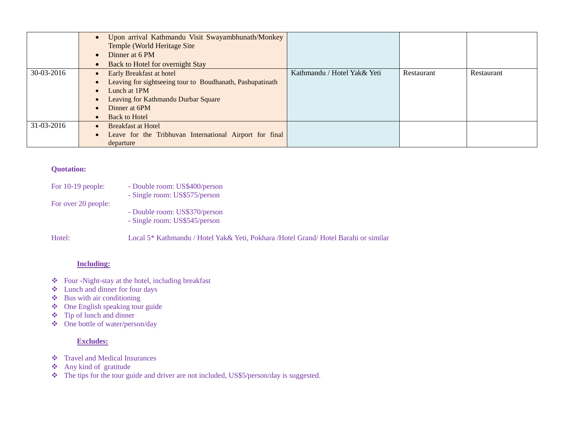|            | Upon arrival Kathmandu Visit Swayambhunath/Monkey<br>$\bullet$<br>Temple (World Heritage Site)<br>Dinner at 6 PM<br>$\bullet$                                                                             |                             |            |            |
|------------|-----------------------------------------------------------------------------------------------------------------------------------------------------------------------------------------------------------|-----------------------------|------------|------------|
|            | Back to Hotel for overnight Stay                                                                                                                                                                          |                             |            |            |
| 30-03-2016 | <b>Early Breakfast at hotel</b><br>Leaving for sightseeing tour to Boudhanath, Pashupatinath<br>Lunch at 1PM<br>$\bullet$<br>Leaving for Kathmandu Durbar Square<br>Dinner at 6PM<br><b>Back to Hotel</b> | Kathmandu / Hotel Yak& Yeti | Restaurant | Restaurant |
| 31-03-2016 | <b>Breakfast at Hotel</b><br>Leave for the Tribhuvan International Airport for final<br>$\bullet$<br>departure                                                                                            |                             |            |            |

#### **Quotation:**

| For $10-19$ people: | - Double room: US\$400/person<br>- Single room: US\$575/person                       |
|---------------------|--------------------------------------------------------------------------------------|
| For over 20 people: |                                                                                      |
|                     | - Double room: US\$370/person                                                        |
|                     | - Single room: US\$545/person                                                        |
| Hotel:              | Local 5* Kathmandu / Hotel Yak& Yeti, Pokhara / Hotel Grand/ Hotel Barahi or similar |

## **Including:**

- Four -Night-stay at the hotel, including breakfast
- Lunch and dinner for four days
- $\triangleleft$  Bus with air conditioning
- ◆ One English speaking tour guide
- Tip of lunch and dinner
- One bottle of water/person/day

## **Excludes:**

- Travel and Medical Insurances
- Any kind of gratitude
- The tips for the tour guide and driver are not included, US\$5/person/day is suggested.